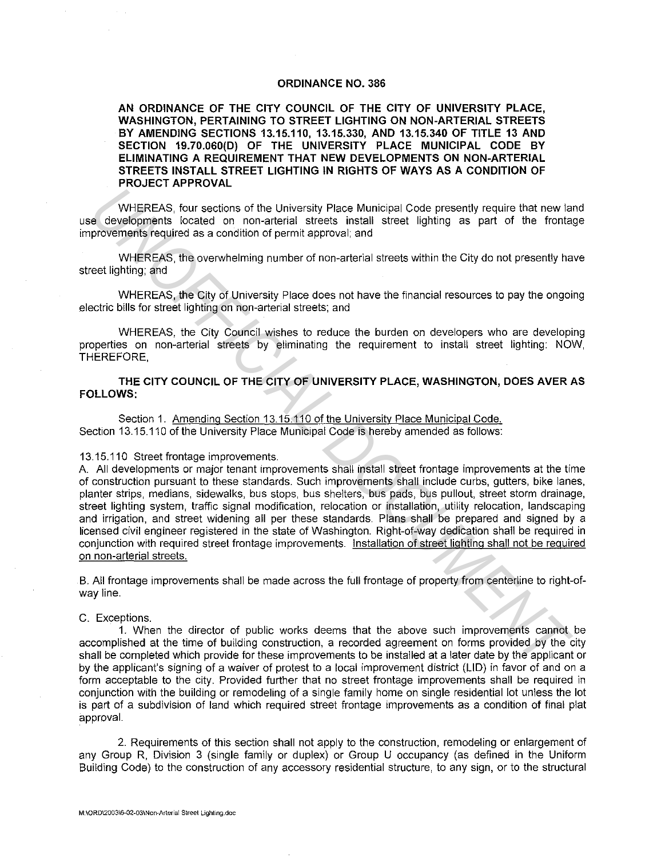### **ORDINANCE NO. 386**

**AN ORDINANCE OF THE CITY COUNCIL OF THE CITY OF UNIVERSITY PLACE, WASHINGTON, PERTAINING TO STREET LIGHTING ON NON-ARTERIAL STREETS BY AMENDING SECTIONS 13.15.110, 13.15.330, AND 13.15.340 OF TITLE 13 AND SECTION 19.70.060(D) OF THE UNIVERSITY PLACE MUNICIPAL CODE BY ELIMINATING A REQUIREMENT THAT NEW DEVELOPMENTS ON NON-ARTERIAL STREETS INSTALL STREET LIGHTING IN RIGHTS OF WAYS AS A CONDITION OF PROJECT APPROVAL** 

WHEREAS, four sections of the University Place Municipal Code presently require that new land use developments located on non-arterial streets install street lighting as part of the frontage improvements required as a condition of permit approval; and

WHEREAS, the overwhelming number of non-arterial streets within the City do not presently have street lighting; and

WHEREAS, the City of University Place does not have the financial resources to pay the ongoing electric bills for street lighting on non-arterial streets; and

WHEREAS, the City Council wishes to reduce the burden on developers who are developing properties on non-arterial streets by eliminating the requirement to install street lighting: NOW, THEREFORE,

**THE CITY COUNCIL OF THE CITY OF UNIVERSITY PLACE, WASHINGTON, DOES AVER AS FOLLOWS:** 

Section 1. Amending Section 13.15.110 of the University Place Municipal Code. Section 13.15.110 of the University Place Municipal Code is hereby amended as follows:

### 13.15.110 Street frontage improvements.

A. All developments or major tenant improvements shall install street frontage improvements at the time of construction pursuant to these standards. Such improvements shall include curbs, gutters, bike lanes, planter strips, medians, sidewalks, bus stops, bus shelters, bus pads, bus pullout, street storm drainage, street lighting system, traffic signal modification, relocation or installation, utility relocation, landscaping and irrigation, and street widening all per these standards. Plans shall be prepared and signed by a licensed civil engineer registered in the state of Washington. Right-of-way dedication shall be required in conjunction with required street frontage improvements. Installation of street lighting shall not be required on non-arterial streets. **WHEREAS, for vectors**<br> **WHEREAS, for vectors of the University Place Municipal Code presently require that new la<br>
de developments located on non-arterial streets install at reade in provenments provenments consider on no** 

B. All frontage improvements shall be made across the full frontage of property from centerline to right-ofway line.

C. Exceptions.

**1.** When the director of public works deems that the above such improvements cannot be accomplished at the time of building construction, a recorded agreement on forms provided by the city shall be completed which provide for these improvements to be installed at a later date by the applicant or by the applicant's signing of a waiver of protest to a local improvement district (LID) in favor of and on a form acceptable to the city. Provided further that no street frontage improvements shall be required in conjunction with the building or remodeling of a single family home on single residential lot unless the lot is part of a subdivision of land which required street frontage improvements as a condition of final plat approval.

2. Requirements of this section shall not apply to the construction, remodeling or enlargement of any Group R, Division 3 (single family or duplex) or Group U occupancy (as defined in the Uniform Building Code) to the construction of any accessory residential structure, to any sign, or to the structural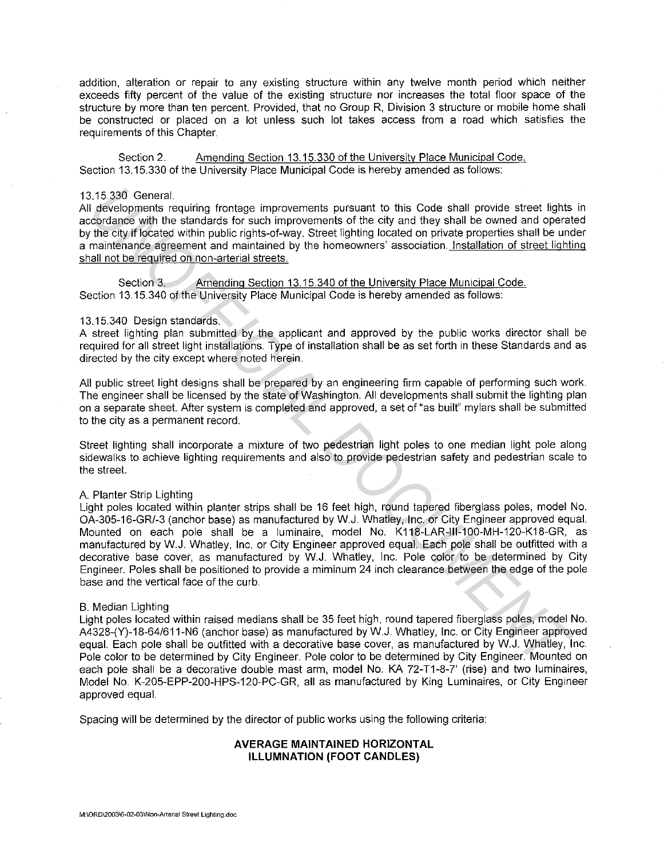addition, alteration or repair to any existing structure within any twelve month period which neither exceeds fifty percent of the value of the existing structure nor increases the total floor space of the structure by more than ten percent. Provided, that no Group R, Division 3 structure or mobile home shall be constructed or placed on a lot unless such lot takes access from a road which satisfies the requirements of this Chapter.

Section 2. Amending Section 13.15.330 of the University Place Municipal Code. Section 13.15.330 of the University Place Municipal Code is hereby amended as follows:

## 13.15.330 General.

All developments requiring frontage improvements pursuant to this Code shall provide street lights in accordance with the standards for such improvements of the city and they shall be owned and operated by the city if located within public rights-of-way. Street lighting located on private properties shall be under a maintenance agreement and maintained by the homeowners' association. Installation of street lighting shall not be required on non-arterial streets.

Section 3. Amending Section 13.15.340 of the University Place Municipal Code. Section 13.15.340 of the University Place Municipal Code is hereby amended as follows:

## 13.15.340 Design standards.

A street lighting plan submitted by the applicant and approved by the public works director shall be required for all street light installations. Type of installation shall be as set forth in these Standards and as directed by the city except where noted herein.

All public street light designs shall be prepared by an engineering firm capable of performing such work. The engineer shall be licensed by the state of Washington. All developments shall submit the lighting plan on a separate sheet. After system is completed and approved, a set of "as built" mylars shall be submitted to the city as a permanent record.

Street lighting shall incorporate a mixture of two pedestrian light poles to one median light pole along sidewalks to achieve lighting requirements and also to provide pedestrian safety and pedestrian scale to the street.

#### A Planter Strip Lighting

Light poles located within planter strips shall be 16 feet high, round tapered fiberglass poles, model No. OA-305-16-GR/-3 (anchor base) as manufactured by W.J. Whatley, Inc. or City Engineer approved equal. Mounted on each pole shall be a luminaire, model No. K118-LAR-lll-100-MH-120-K18-GR, as manufactured by W.J. Whatley, Inc. or City Engineer approved equal. Each pole shall be outfitted with a decorative base cover, as manufactured by W.J. Whatley, Inc. Pole color to be determined by City Engineer. Poles shall be positioned to provide a miminum 24 inch clearance between the edge of the pole base and the vertical face of the curb. 3.15.330 Ceneral.<br>
In developments requiring frontage improvements pursuant to this Code shall provide street lights<br>
obsorbance with the standards for such improvements of the city and they shall be owned and operation<br>
o

#### B. Median Lighting

Light poles located within raised medians shall be 35 feet high, round tapered fiberglass poles, model No. A4328-(Y)-18-64/611-N6 (anchor base) as manufactured by W.J. Whatley, Inc. or City Engineer approved equal. Each pole shall be outfitted with a decorative base cover, as manufactured by W.J. Whatley, Inc. Pole color to be determined by City Engineer. Pole color to be determined by City Engineer. Mounted on each pole shall be a decorative double mast arm, model No. KA 72-T1-8-7' (rise) and two luminaires, Model No. K-205-EPP-200-HPS-120-PC-GR, all as manufactured by King Luminaires, or City Engineer approved equal.

Spacing will be determined by the director of public works using the following criteria:

# **AVERAGE MAINTAINED HORIZONTAL ILLUMNATION (FOOT CANDLES)**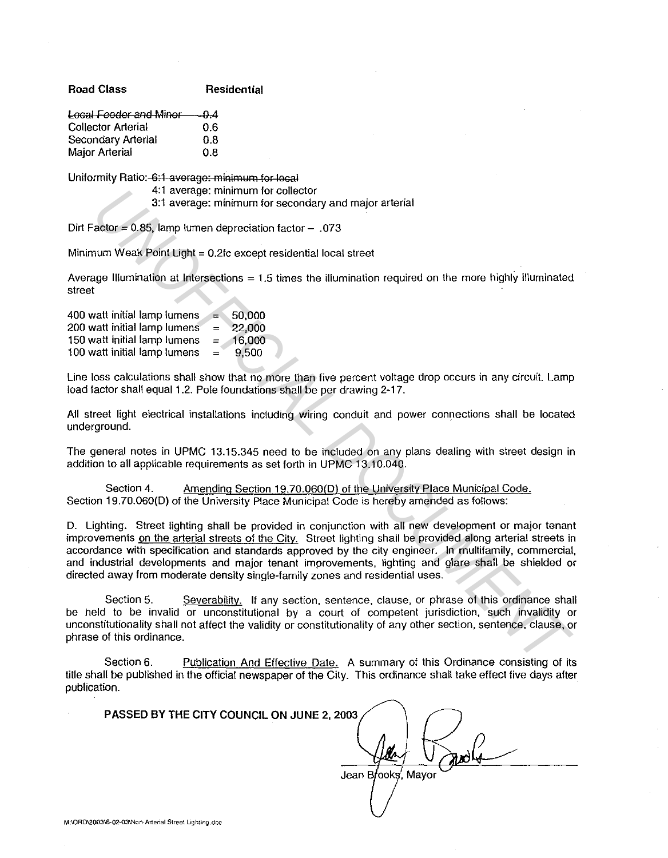**Road Class Residential** 

| Local Feeder and Minor 0.4 |     |
|----------------------------|-----|
| <b>Collector Arterial</b>  | 0.6 |
| <b>Secondary Arterial</b>  | 0.8 |
| <b>Major Arterial</b>      | 0.8 |

Uniformity Ratio: 6:1 average: minimum for local

4:1 average: minimum for collector

3:1 average: minimum for secondary and major arterial

Dirt Factor =  $0.85$ , lamp lumen depreciation factor - .073

Minimum Weak Point Light= 0.2fc except residential local street

Average Illumination at Intersections = 1.5 times the illumination required on the more highly illuminated street

400 watt initial lamp lumens 200 watt initial lamp lumens 150 watt initial lamp lumens 100 watt initial lamp lumens  $=$ = = = 50,000 22,000 16,000 9,500

Line loss calculations shall show that no more than five percent voltage drop occurs in any circuit. Lamp load factor shall equal 1.2. Pole foundations shall be per drawing 2-17.

All street light electrical installations including wiring conduit and power connections shall be located underground.

The general notes in UPMC 13.15.345 need to be included on any plans dealing with street design in addition to all applicable requirements as set forth in UPMC 13.10.040.

Section 4. Amending Section 19.70.060(D) of the University Place Municipal Code. Section 19.70.060(0) of the University Place Municipal Code is hereby amended as follows:

D. Lighting. Street lighting shall be provided in conjunction with all new development or major tenant improvements on the arterial streets of the City. Street lighting shall be provided along arterial streets in accordance with specification and standards approved by the city engineer. In multifamily, commercial, and industrial developments and major tenant improvements, lighting and glare shall be shielded or directed away from moderate density single-family zones and residential uses. 4:1 average: minimum for celector<br>3:1 average: minimum for secondary and major arterial<br>actor = 0.85, lamp lumen deprectation factor – .073<br>num Weak Petril Light = 0.2/c except residential local street<br>ge Illumination at I

Section 5. Severability. If any section, sentence, clause, or phrase of this ordinance shall be held to be invalid or unconstitutional by a court of competent jurisdiction, such invalidity or unconstitutionality shall not affect the validity or constitutionality of any other section, sentence, clause, or phrase of this ordinance.

Section 6. Publication And Effective Date. A summary of this Ordinance consisting of its title shall be published in the official newspaper of the City. This ordinance shall take effect five days after publication.

**PASSED BY THE CITY COUNCIL ON JUNE 2, 2003** 

Jean Brooks, Mayor